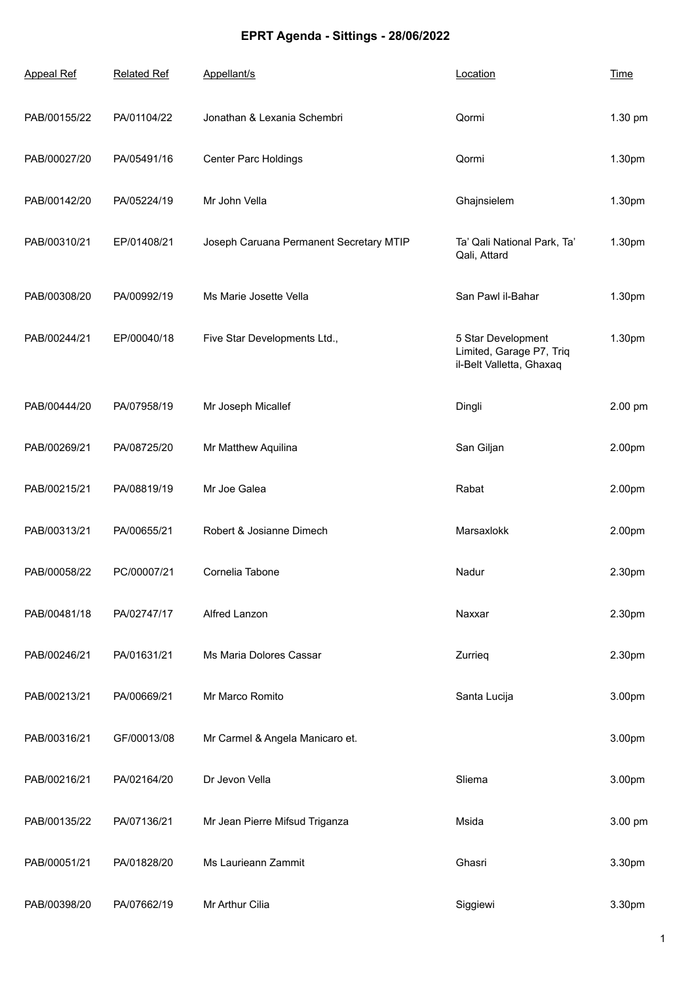## **EPRT Agenda - Sittings - 28/06/2022**

| <b>Appeal Ref</b> | <b>Related Ref</b> | Appellant/s                             | Location                                                                   | <b>Time</b> |
|-------------------|--------------------|-----------------------------------------|----------------------------------------------------------------------------|-------------|
| PAB/00155/22      | PA/01104/22        | Jonathan & Lexania Schembri             | Qormi                                                                      | 1.30 pm     |
| PAB/00027/20      | PA/05491/16        | <b>Center Parc Holdings</b>             | Qormi                                                                      | 1.30pm      |
| PAB/00142/20      | PA/05224/19        | Mr John Vella                           | Ghajnsielem                                                                | 1.30pm      |
| PAB/00310/21      | EP/01408/21        | Joseph Caruana Permanent Secretary MTIP | Ta' Qali National Park, Ta'<br>Qali, Attard                                | 1.30pm      |
| PAB/00308/20      | PA/00992/19        | Ms Marie Josette Vella                  | San Pawl il-Bahar                                                          | 1.30pm      |
| PAB/00244/21      | EP/00040/18        | Five Star Developments Ltd.,            | 5 Star Development<br>Limited, Garage P7, Triq<br>il-Belt Valletta, Ghaxaq | 1.30pm      |
| PAB/00444/20      | PA/07958/19        | Mr Joseph Micallef                      | Dingli                                                                     | 2.00 pm     |
| PAB/00269/21      | PA/08725/20        | Mr Matthew Aquilina                     | San Giljan                                                                 | 2.00pm      |
| PAB/00215/21      | PA/08819/19        | Mr Joe Galea                            | Rabat                                                                      | 2.00pm      |
| PAB/00313/21      | PA/00655/21        | Robert & Josianne Dimech                | Marsaxlokk                                                                 | 2.00pm      |
| PAB/00058/22      | PC/00007/21        | Cornelia Tabone                         | Nadur                                                                      | 2.30pm      |
| PAB/00481/18      | PA/02747/17        | Alfred Lanzon                           | Naxxar                                                                     | 2.30pm      |
| PAB/00246/21      | PA/01631/21        | Ms Maria Dolores Cassar                 | Zurrieg                                                                    | 2.30pm      |
| PAB/00213/21      | PA/00669/21        | Mr Marco Romito                         | Santa Lucija                                                               | 3.00pm      |
| PAB/00316/21      | GF/00013/08        | Mr Carmel & Angela Manicaro et.         |                                                                            | 3.00pm      |
| PAB/00216/21      | PA/02164/20        | Dr Jevon Vella                          | Sliema                                                                     | 3.00pm      |
| PAB/00135/22      | PA/07136/21        | Mr Jean Pierre Mifsud Triganza          | Msida                                                                      | 3.00 pm     |
| PAB/00051/21      | PA/01828/20        | Ms Laurieann Zammit                     | Ghasri                                                                     | 3.30pm      |
| PAB/00398/20      | PA/07662/19        | Mr Arthur Cilia                         | Siggiewi                                                                   | 3.30pm      |